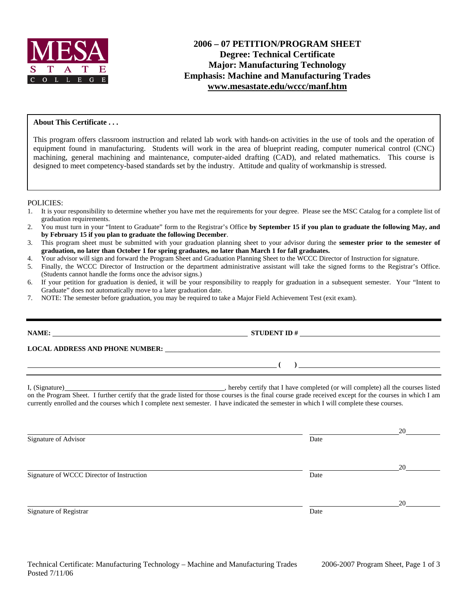

## **2006 – 07 PETITION/PROGRAM SHEET Degree: Technical Certificate Major: Manufacturing Technology Emphasis: Machine and Manufacturing Trades www.mesastate.edu/wccc/manf.htm**

### **About This Certificate . . .**

This program offers classroom instruction and related lab work with hands-on activities in the use of tools and the operation of equipment found in manufacturing. Students will work in the area of blueprint reading, computer numerical control (CNC) machining, general machining and maintenance, computer-aided drafting (CAD), and related mathematics. This course is designed to meet competency-based standards set by the industry. Attitude and quality of workmanship is stressed.

#### POLICIES:

- 1. It is your responsibility to determine whether you have met the requirements for your degree. Please see the MSC Catalog for a complete list of graduation requirements.
- 2. You must turn in your "Intent to Graduate" form to the Registrar's Office **by September 15 if you plan to graduate the following May, and by February 15 if you plan to graduate the following December**.
- 3. This program sheet must be submitted with your graduation planning sheet to your advisor during the **semester prior to the semester of graduation, no later than October 1 for spring graduates, no later than March 1 for fall graduates.**
- 4. Your advisor will sign and forward the Program Sheet and Graduation Planning Sheet to the WCCC Director of Instruction for signature.
- 5. Finally, the WCCC Director of Instruction or the department administrative assistant will take the signed forms to the Registrar's Office. (Students cannot handle the forms once the advisor signs.)
- 6. If your petition for graduation is denied, it will be your responsibility to reapply for graduation in a subsequent semester. Your "Intent to Graduate" does not automatically move to a later graduation date.
- 7. NOTE: The semester before graduation, you may be required to take a Major Field Achievement Test (exit exam).

**LOCAL ADDRESS AND PHONE NUMBER:**

I, (Signature) , hereby certify that I have completed (or will complete) all the courses listed on the Program Sheet. I further certify that the grade listed for those courses is the final course grade received except for the courses in which I am currently enrolled and the courses which I complete next semester. I have indicated the semester in which I will complete these courses.

Signature of Advisor Date and Advisor Date and Advisor Date and Advisor Date and Advisor Date and Advisor Date and Advisor Date and Advisor Date and Advisor Date and Advisor Date and Advisor Date and Advisor Date and Advis

Signature of WCCC Director of Instruction Date

Signature of Registrar Date

 **( )** 

**NAME STUDENT ID #** 

20

<u>20</u>

<u>20</u>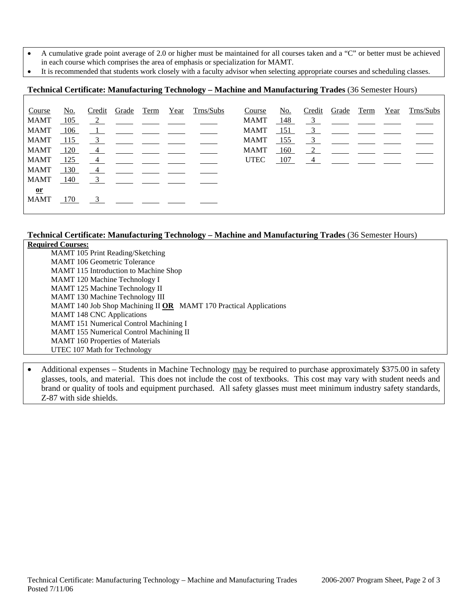- A cumulative grade point average of 2.0 or higher must be maintained for all courses taken and a "C" or better must be achieved
- in each course which comprises the area of emphasis or specialization for MAMT.
- It is recommended that students work closely with a faculty advisor when selecting appropriate courses and scheduling classes.

# **Technical Certificate: Manufacturing Technology – Machine and Manufacturing Trades** (36 Semester Hours)

| Course        | No. | Credit                    |                                                                       | Grade Term | Year | Trns/Subs                                                                           | Course      | No. | Credit        | Grade                                                                                                                                                                                                                                                                                                               | Term | Year | Trns/Subs |
|---------------|-----|---------------------------|-----------------------------------------------------------------------|------------|------|-------------------------------------------------------------------------------------|-------------|-----|---------------|---------------------------------------------------------------------------------------------------------------------------------------------------------------------------------------------------------------------------------------------------------------------------------------------------------------------|------|------|-----------|
| <b>MAMT</b>   | 105 |                           |                                                                       |            |      | $\frac{2}{\sqrt{2}}$ $\frac{2}{\sqrt{2}}$ $\frac{2}{\sqrt{2}}$ $\frac{2}{\sqrt{2}}$ | MAMT        | 148 |               | $\frac{3}{2}$ $\frac{3}{2}$ $\frac{3}{2}$ $\frac{3}{2}$ $\frac{3}{2}$ $\frac{3}{2}$ $\frac{3}{2}$ $\frac{3}{2}$ $\frac{3}{2}$ $\frac{3}{2}$ $\frac{3}{2}$ $\frac{3}{2}$ $\frac{3}{2}$ $\frac{3}{2}$ $\frac{3}{2}$ $\frac{3}{2}$ $\frac{3}{2}$ $\frac{3}{2}$ $\frac{3}{2}$ $\frac{3}{2}$ $\frac{3}{2}$ $\frac{3}{2}$ |      |      |           |
| <b>MAMT</b>   | 106 |                           |                                                                       |            |      |                                                                                     | MAMT        | 151 | $\frac{3}{2}$ |                                                                                                                                                                                                                                                                                                                     |      |      |           |
| <b>MAMT</b>   | 115 | $\overline{\phantom{0}3}$ |                                                                       |            |      |                                                                                     | MAMT        | 155 | $\frac{3}{2}$ |                                                                                                                                                                                                                                                                                                                     |      |      |           |
| <b>MAMT</b>   | 120 | $\frac{4}{ }$             |                                                                       |            |      |                                                                                     | MAMT        | 160 | 2             |                                                                                                                                                                                                                                                                                                                     |      |      |           |
| <b>MAMT</b>   | 125 | $\frac{4}{ }$             |                                                                       |            |      |                                                                                     | <b>UTEC</b> | 107 |               | $\overline{4}$                                                                                                                                                                                                                                                                                                      |      |      |           |
| <b>MAMT</b>   | 130 | $\frac{4}{ }$             |                                                                       |            |      |                                                                                     |             |     |               |                                                                                                                                                                                                                                                                                                                     |      |      |           |
| <b>MAMT</b>   | 140 |                           | $\frac{3}{2}$ $\frac{1}{2}$ $\frac{1}{2}$ $\frac{1}{2}$ $\frac{1}{2}$ |            |      |                                                                                     |             |     |               |                                                                                                                                                                                                                                                                                                                     |      |      |           |
| $\mathbf{or}$ |     |                           |                                                                       |            |      |                                                                                     |             |     |               |                                                                                                                                                                                                                                                                                                                     |      |      |           |
| <b>MAMT</b>   | 170 | $\overline{\mathbf{3}}$   |                                                                       |            |      |                                                                                     |             |     |               |                                                                                                                                                                                                                                                                                                                     |      |      |           |
|               |     |                           |                                                                       |            |      |                                                                                     |             |     |               |                                                                                                                                                                                                                                                                                                                     |      |      |           |

## **Technical Certificate: Manufacturing Technology – Machine and Manufacturing Trades** (36 Semester Hours)

| <b>Required Courses:</b>                                          |
|-------------------------------------------------------------------|
| <b>MAMT</b> 105 Print Reading/Sketching                           |
| <b>MAMT</b> 106 Geometric Tolerance                               |
| MAMT 115 Introduction to Machine Shop                             |
| <b>MAMT</b> 120 Machine Technology I                              |
| MAMT 125 Machine Technology II                                    |
| <b>MAMT</b> 130 Machine Technology III                            |
| MAMT 140 Job Shop Machining II OR MAMT 170 Practical Applications |
| <b>MAMT 148 CNC Applications</b>                                  |
| MAMT 151 Numerical Control Machining I                            |
| <b>MAMT</b> 155 Numerical Control Machining II                    |
| <b>MAMT</b> 160 Properties of Materials                           |
| UTEC 107 Math for Technology                                      |

• Additional expenses – Students in Machine Technology may be required to purchase approximately \$375.00 in safety glasses, tools, and material. This does not include the cost of textbooks. This cost may vary with student needs and brand or quality of tools and equipment purchased. All safety glasses must meet minimum industry safety standards, Z-87 with side shields.